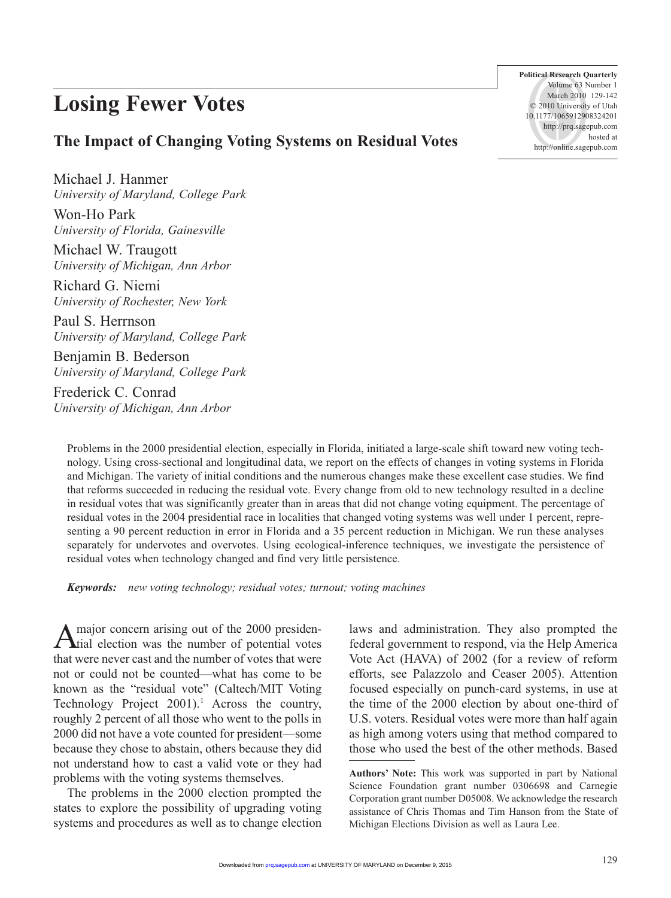# **Losing Fewer Votes**

**Political Research Quarterly** Volume 63 Number 1 March 2010 129-142 © 2010 University of Utah 10.1177/1065912908324201 http://prq.sagepub.com hosted at http://online.sagepub.com

## **The Impact of Changing Voting Systems on Residual Votes**

Michael J. Hanmer *University of Maryland, College Park*

Won-Ho Park *University of Florida, Gainesville*

Michael W. Traugott *University of Michigan, Ann Arbor*

Richard G. Niemi *University of Rochester, New York*

Paul S. Herrnson *University of Maryland, College Park*

Benjamin B. Bederson *University of Maryland, College Park*

Frederick C. Conrad *University of Michigan, Ann Arbor*

Problems in the 2000 presidential election, especially in Florida, initiated a large-scale shift toward new voting technology. Using cross-sectional and longitudinal data, we report on the effects of changes in voting systems in Florida and Michigan. The variety of initial conditions and the numerous changes make these excellent case studies. We find that reforms succeeded in reducing the residual vote. Every change from old to new technology resulted in a decline in residual votes that was significantly greater than in areas that did not change voting equipment. The percentage of residual votes in the 2004 presidential race in localities that changed voting systems was well under 1 percent, representing a 90 percent reduction in error in Florida and a 35 percent reduction in Michigan. We run these analyses separately for undervotes and overvotes. Using ecological-inference techniques, we investigate the persistence of residual votes when technology changed and find very little persistence.

*Keywords: new voting technology; residual votes; turnout; voting machines*

A major concern arising out of the 2000 presiden-tial election was the number of potential votes that were never cast and the number of votes that were not or could not be counted—what has come to be known as the "residual vote" (Caltech/MIT Voting Technology Project  $2001$ <sup>1</sup>. Across the country, roughly 2 percent of all those who went to the polls in 2000 did not have a vote counted for president—some because they chose to abstain, others because they did not understand how to cast a valid vote or they had problems with the voting systems themselves.

The problems in the 2000 election prompted the states to explore the possibility of upgrading voting systems and procedures as well as to change election laws and administration. They also prompted the federal government to respond, via the Help America Vote Act (HAVA) of 2002 (for a review of reform efforts, see Palazzolo and Ceaser 2005). Attention focused especially on punch-card systems, in use at the time of the 2000 election by about one-third of U.S. voters. Residual votes were more than half again as high among voters using that method compared to those who used the best of the other methods. Based

**Authors' Note:** This work was supported in part by National Science Foundation grant number 0306698 and Carnegie Corporation grant number D05008. We acknowledge the research assistance of Chris Thomas and Tim Hanson from the State of Michigan Elections Division as well as Laura Lee.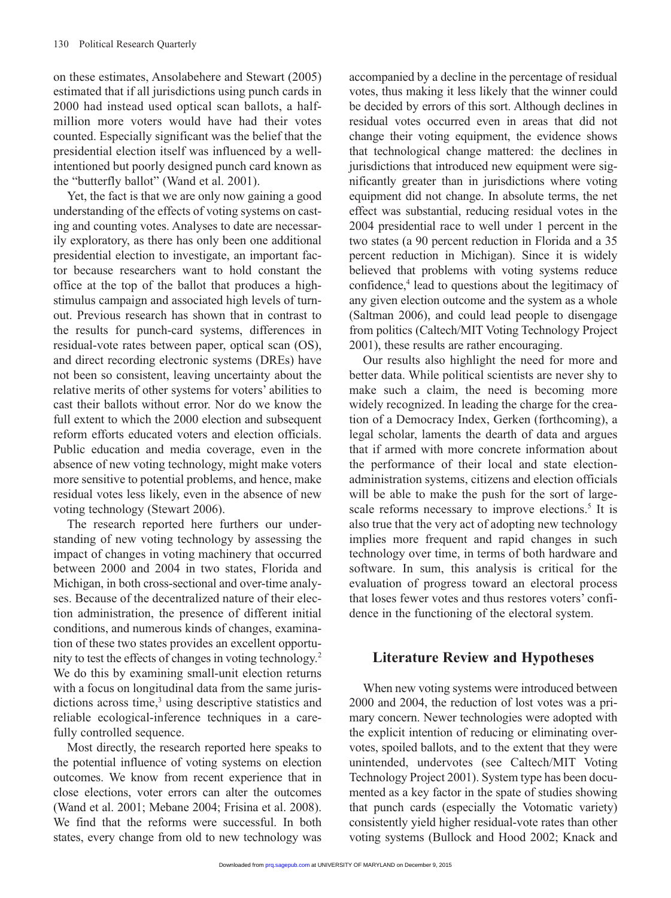on these estimates, Ansolabehere and Stewart (2005) estimated that if all jurisdictions using punch cards in 2000 had instead used optical scan ballots, a halfmillion more voters would have had their votes counted. Especially significant was the belief that the presidential election itself was influenced by a wellintentioned but poorly designed punch card known as the "butterfly ballot" (Wand et al. 2001).

Yet, the fact is that we are only now gaining a good understanding of the effects of voting systems on casting and counting votes. Analyses to date are necessarily exploratory, as there has only been one additional presidential election to investigate, an important factor because researchers want to hold constant the office at the top of the ballot that produces a highstimulus campaign and associated high levels of turnout. Previous research has shown that in contrast to the results for punch-card systems, differences in residual-vote rates between paper, optical scan (OS), and direct recording electronic systems (DREs) have not been so consistent, leaving uncertainty about the relative merits of other systems for voters' abilities to cast their ballots without error. Nor do we know the full extent to which the 2000 election and subsequent reform efforts educated voters and election officials. Public education and media coverage, even in the absence of new voting technology, might make voters more sensitive to potential problems, and hence, make residual votes less likely, even in the absence of new voting technology (Stewart 2006).

The research reported here furthers our understanding of new voting technology by assessing the impact of changes in voting machinery that occurred between 2000 and 2004 in two states, Florida and Michigan, in both cross-sectional and over-time analyses. Because of the decentralized nature of their election administration, the presence of different initial conditions, and numerous kinds of changes, examination of these two states provides an excellent opportunity to test the effects of changes in voting technology.2 We do this by examining small-unit election returns with a focus on longitudinal data from the same jurisdictions across time,<sup>3</sup> using descriptive statistics and reliable ecological-inference techniques in a carefully controlled sequence.

Most directly, the research reported here speaks to the potential influence of voting systems on election outcomes. We know from recent experience that in close elections, voter errors can alter the outcomes (Wand et al. 2001; Mebane 2004; Frisina et al. 2008). We find that the reforms were successful. In both states, every change from old to new technology was accompanied by a decline in the percentage of residual votes, thus making it less likely that the winner could be decided by errors of this sort. Although declines in residual votes occurred even in areas that did not change their voting equipment, the evidence shows that technological change mattered: the declines in jurisdictions that introduced new equipment were significantly greater than in jurisdictions where voting equipment did not change. In absolute terms, the net effect was substantial, reducing residual votes in the 2004 presidential race to well under 1 percent in the two states (a 90 percent reduction in Florida and a 35 percent reduction in Michigan). Since it is widely believed that problems with voting systems reduce confidence,<sup>4</sup> lead to questions about the legitimacy of any given election outcome and the system as a whole (Saltman 2006), and could lead people to disengage from politics (Caltech/MIT Voting Technology Project 2001), these results are rather encouraging.

Our results also highlight the need for more and better data. While political scientists are never shy to make such a claim, the need is becoming more widely recognized. In leading the charge for the creation of a Democracy Index, Gerken (forthcoming), a legal scholar, laments the dearth of data and argues that if armed with more concrete information about the performance of their local and state electionadministration systems, citizens and election officials will be able to make the push for the sort of largescale reforms necessary to improve elections.<sup>5</sup> It is also true that the very act of adopting new technology implies more frequent and rapid changes in such technology over time, in terms of both hardware and software. In sum, this analysis is critical for the evaluation of progress toward an electoral process that loses fewer votes and thus restores voters' confidence in the functioning of the electoral system.

# **Literature Review and Hypotheses**

When new voting systems were introduced between 2000 and 2004, the reduction of lost votes was a primary concern. Newer technologies were adopted with the explicit intention of reducing or eliminating overvotes, spoiled ballots, and to the extent that they were unintended, undervotes (see Caltech/MIT Voting Technology Project 2001). System type has been documented as a key factor in the spate of studies showing that punch cards (especially the Votomatic variety) consistently yield higher residual-vote rates than other voting systems (Bullock and Hood 2002; Knack and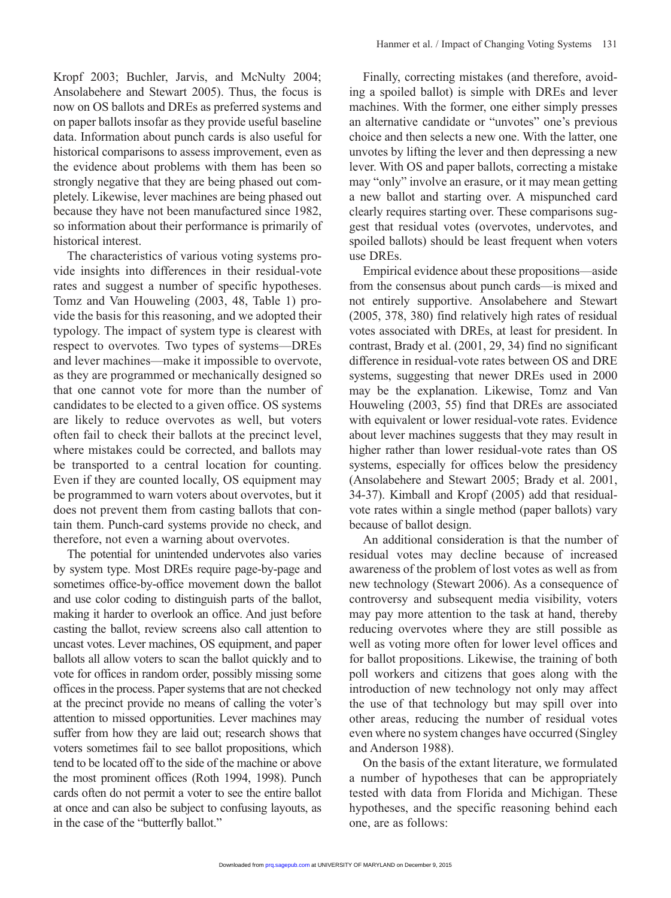Kropf 2003; Buchler, Jarvis, and McNulty 2004; Ansolabehere and Stewart 2005). Thus, the focus is now on OS ballots and DREs as preferred systems and on paper ballots insofar as they provide useful baseline data. Information about punch cards is also useful for historical comparisons to assess improvement, even as the evidence about problems with them has been so strongly negative that they are being phased out completely. Likewise, lever machines are being phased out because they have not been manufactured since 1982, so information about their performance is primarily of historical interest.

The characteristics of various voting systems provide insights into differences in their residual-vote rates and suggest a number of specific hypotheses. Tomz and Van Houweling (2003, 48, Table 1) provide the basis for this reasoning, and we adopted their typology. The impact of system type is clearest with respect to overvotes*.* Two types of systems—DREs and lever machines—make it impossible to overvote, as they are programmed or mechanically designed so that one cannot vote for more than the number of candidates to be elected to a given office. OS systems are likely to reduce overvotes as well, but voters often fail to check their ballots at the precinct level, where mistakes could be corrected, and ballots may be transported to a central location for counting. Even if they are counted locally, OS equipment may be programmed to warn voters about overvotes, but it does not prevent them from casting ballots that contain them. Punch-card systems provide no check, and therefore, not even a warning about overvotes.

The potential for unintended undervotes also varies by system type. Most DREs require page-by-page and sometimes office-by-office movement down the ballot and use color coding to distinguish parts of the ballot, making it harder to overlook an office. And just before casting the ballot, review screens also call attention to uncast votes. Lever machines, OS equipment, and paper ballots all allow voters to scan the ballot quickly and to vote for offices in random order, possibly missing some offices in the process. Paper systems that are not checked at the precinct provide no means of calling the voter's attention to missed opportunities. Lever machines may suffer from how they are laid out; research shows that voters sometimes fail to see ballot propositions, which tend to be located off to the side of the machine or above the most prominent offices (Roth 1994, 1998). Punch cards often do not permit a voter to see the entire ballot at once and can also be subject to confusing layouts, as in the case of the "butterfly ballot."

Finally, correcting mistakes (and therefore, avoiding a spoiled ballot) is simple with DREs and lever machines. With the former, one either simply presses an alternative candidate or "unvotes" one's previous choice and then selects a new one. With the latter, one unvotes by lifting the lever and then depressing a new lever. With OS and paper ballots, correcting a mistake may "only" involve an erasure, or it may mean getting a new ballot and starting over. A mispunched card clearly requires starting over. These comparisons suggest that residual votes (overvotes, undervotes, and spoiled ballots) should be least frequent when voters use DREs.

Empirical evidence about these propositions—aside from the consensus about punch cards—is mixed and not entirely supportive. Ansolabehere and Stewart (2005, 378, 380) find relatively high rates of residual votes associated with DREs, at least for president. In contrast, Brady et al. (2001, 29, 34) find no significant difference in residual-vote rates between OS and DRE systems, suggesting that newer DREs used in 2000 may be the explanation. Likewise, Tomz and Van Houweling (2003, 55) find that DREs are associated with equivalent or lower residual-vote rates. Evidence about lever machines suggests that they may result in higher rather than lower residual-vote rates than OS systems, especially for offices below the presidency (Ansolabehere and Stewart 2005; Brady et al. 2001, 34-37). Kimball and Kropf (2005) add that residualvote rates within a single method (paper ballots) vary because of ballot design.

An additional consideration is that the number of residual votes may decline because of increased awareness of the problem of lost votes as well as from new technology (Stewart 2006). As a consequence of controversy and subsequent media visibility, voters may pay more attention to the task at hand, thereby reducing overvotes where they are still possible as well as voting more often for lower level offices and for ballot propositions. Likewise, the training of both poll workers and citizens that goes along with the introduction of new technology not only may affect the use of that technology but may spill over into other areas, reducing the number of residual votes even where no system changes have occurred (Singley and Anderson 1988).

On the basis of the extant literature, we formulated a number of hypotheses that can be appropriately tested with data from Florida and Michigan. These hypotheses, and the specific reasoning behind each one, are as follows: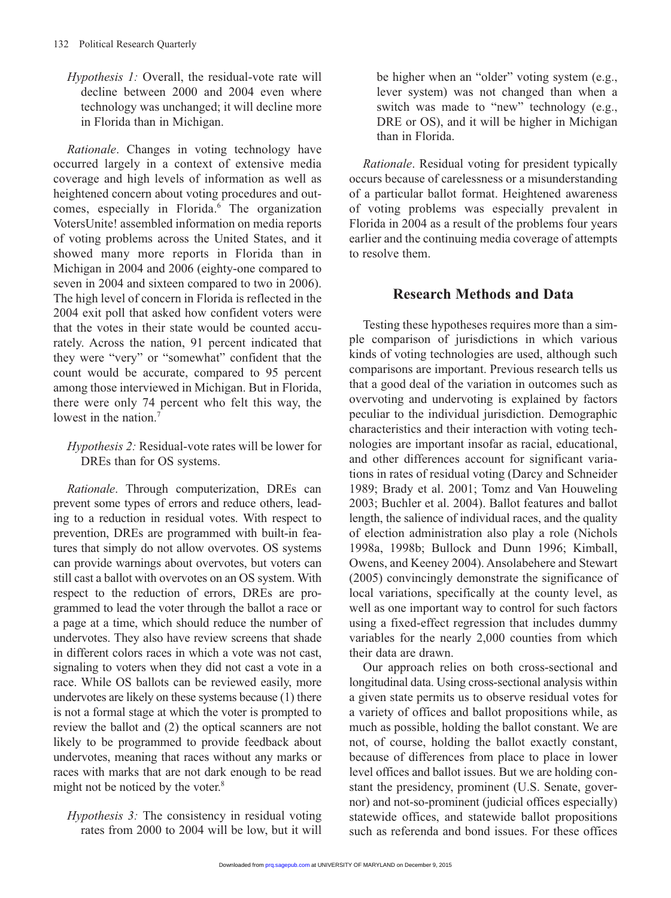*Hypothesis 1:* Overall, the residual-vote rate will decline between 2000 and 2004 even where technology was unchanged; it will decline more in Florida than in Michigan.

*Rationale*. Changes in voting technology have occurred largely in a context of extensive media coverage and high levels of information as well as heightened concern about voting procedures and outcomes, especially in Florida.<sup>6</sup> The organization VotersUnite! assembled information on media reports of voting problems across the United States, and it showed many more reports in Florida than in Michigan in 2004 and 2006 (eighty-one compared to seven in 2004 and sixteen compared to two in 2006). The high level of concern in Florida is reflected in the 2004 exit poll that asked how confident voters were that the votes in their state would be counted accurately. Across the nation, 91 percent indicated that they were "very" or "somewhat" confident that the count would be accurate, compared to 95 percent among those interviewed in Michigan. But in Florida, there were only 74 percent who felt this way, the lowest in the nation.<sup>7</sup>

### *Hypothesis 2:* Residual-vote rates will be lower for DREs than for OS systems.

*Rationale*. Through computerization, DREs can prevent some types of errors and reduce others, leading to a reduction in residual votes. With respect to prevention, DREs are programmed with built-in features that simply do not allow overvotes. OS systems can provide warnings about overvotes, but voters can still cast a ballot with overvotes on an OS system. With respect to the reduction of errors, DREs are programmed to lead the voter through the ballot a race or a page at a time, which should reduce the number of undervotes. They also have review screens that shade in different colors races in which a vote was not cast, signaling to voters when they did not cast a vote in a race. While OS ballots can be reviewed easily, more undervotes are likely on these systems because (1) there is not a formal stage at which the voter is prompted to review the ballot and (2) the optical scanners are not likely to be programmed to provide feedback about undervotes, meaning that races without any marks or races with marks that are not dark enough to be read might not be noticed by the voter.<sup>8</sup>

*Hypothesis 3:* The consistency in residual voting rates from 2000 to 2004 will be low, but it will

be higher when an "older" voting system (e.g., lever system) was not changed than when a switch was made to "new" technology (e.g., DRE or OS), and it will be higher in Michigan than in Florida.

*Rationale*. Residual voting for president typically occurs because of carelessness or a misunderstanding of a particular ballot format. Heightened awareness of voting problems was especially prevalent in Florida in 2004 as a result of the problems four years earlier and the continuing media coverage of attempts to resolve them.

# **Research Methods and Data**

Testing these hypotheses requires more than a simple comparison of jurisdictions in which various kinds of voting technologies are used, although such comparisons are important. Previous research tells us that a good deal of the variation in outcomes such as overvoting and undervoting is explained by factors peculiar to the individual jurisdiction. Demographic characteristics and their interaction with voting technologies are important insofar as racial, educational, and other differences account for significant variations in rates of residual voting (Darcy and Schneider 1989; Brady et al. 2001; Tomz and Van Houweling 2003; Buchler et al. 2004). Ballot features and ballot length, the salience of individual races, and the quality of election administration also play a role (Nichols 1998a, 1998b; Bullock and Dunn 1996; Kimball, Owens, and Keeney 2004). Ansolabehere and Stewart (2005) convincingly demonstrate the significance of local variations, specifically at the county level, as well as one important way to control for such factors using a fixed-effect regression that includes dummy variables for the nearly 2,000 counties from which their data are drawn.

Our approach relies on both cross-sectional and longitudinal data. Using cross-sectional analysis within a given state permits us to observe residual votes for a variety of offices and ballot propositions while, as much as possible, holding the ballot constant. We are not, of course, holding the ballot exactly constant, because of differences from place to place in lower level offices and ballot issues. But we are holding constant the presidency, prominent (U.S. Senate, governor) and not-so-prominent (judicial offices especially) statewide offices, and statewide ballot propositions such as referenda and bond issues. For these offices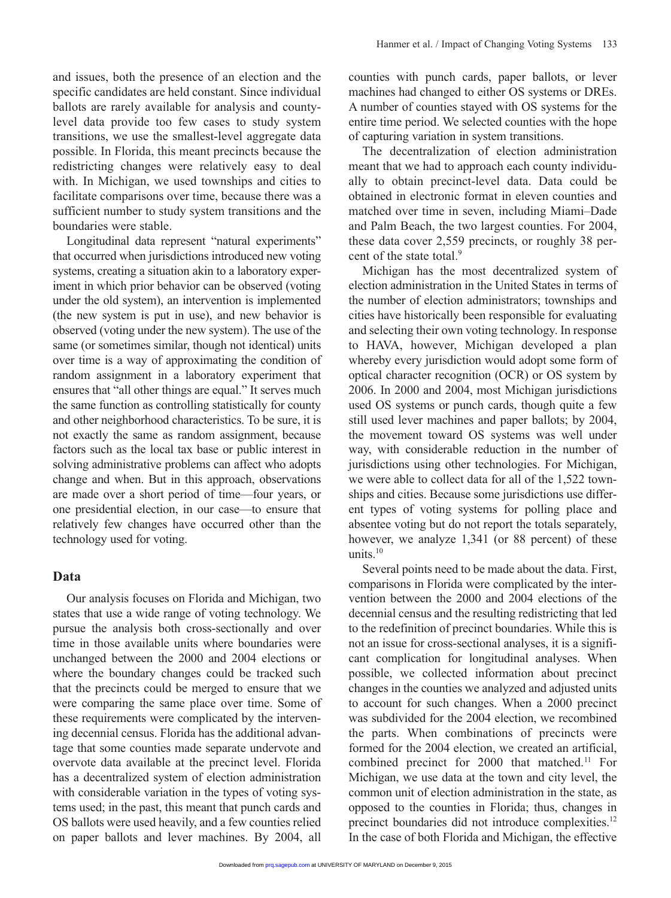and issues, both the presence of an election and the specific candidates are held constant. Since individual ballots are rarely available for analysis and countylevel data provide too few cases to study system transitions, we use the smallest-level aggregate data possible. In Florida, this meant precincts because the redistricting changes were relatively easy to deal with. In Michigan, we used townships and cities to facilitate comparisons over time, because there was a sufficient number to study system transitions and the boundaries were stable.

Longitudinal data represent "natural experiments" that occurred when jurisdictions introduced new voting systems, creating a situation akin to a laboratory experiment in which prior behavior can be observed (voting under the old system), an intervention is implemented (the new system is put in use), and new behavior is observed (voting under the new system). The use of the same (or sometimes similar, though not identical) units over time is a way of approximating the condition of random assignment in a laboratory experiment that ensures that "all other things are equal." It serves much the same function as controlling statistically for county and other neighborhood characteristics. To be sure, it is not exactly the same as random assignment, because factors such as the local tax base or public interest in solving administrative problems can affect who adopts change and when. But in this approach, observations are made over a short period of time—four years, or one presidential election, in our case—to ensure that relatively few changes have occurred other than the technology used for voting.

#### **Data**

Our analysis focuses on Florida and Michigan, two states that use a wide range of voting technology. We pursue the analysis both cross-sectionally and over time in those available units where boundaries were unchanged between the 2000 and 2004 elections or where the boundary changes could be tracked such that the precincts could be merged to ensure that we were comparing the same place over time. Some of these requirements were complicated by the intervening decennial census. Florida has the additional advantage that some counties made separate undervote and overvote data available at the precinct level. Florida has a decentralized system of election administration with considerable variation in the types of voting systems used; in the past, this meant that punch cards and OS ballots were used heavily, and a few counties relied on paper ballots and lever machines. By 2004, all

counties with punch cards, paper ballots, or lever machines had changed to either OS systems or DREs. A number of counties stayed with OS systems for the entire time period. We selected counties with the hope of capturing variation in system transitions.

The decentralization of election administration meant that we had to approach each county individually to obtain precinct-level data. Data could be obtained in electronic format in eleven counties and matched over time in seven, including Miami–Dade and Palm Beach, the two largest counties. For 2004, these data cover 2,559 precincts, or roughly 38 percent of the state total.<sup>9</sup>

Michigan has the most decentralized system of election administration in the United States in terms of the number of election administrators; townships and cities have historically been responsible for evaluating and selecting their own voting technology. In response to HAVA, however, Michigan developed a plan whereby every jurisdiction would adopt some form of optical character recognition (OCR) or OS system by 2006. In 2000 and 2004, most Michigan jurisdictions used OS systems or punch cards, though quite a few still used lever machines and paper ballots; by 2004, the movement toward OS systems was well under way, with considerable reduction in the number of jurisdictions using other technologies. For Michigan, we were able to collect data for all of the 1,522 townships and cities. Because some jurisdictions use different types of voting systems for polling place and absentee voting but do not report the totals separately, however, we analyze 1,341 (or 88 percent) of these units.<sup>10</sup>

Several points need to be made about the data. First, comparisons in Florida were complicated by the intervention between the 2000 and 2004 elections of the decennial census and the resulting redistricting that led to the redefinition of precinct boundaries. While this is not an issue for cross-sectional analyses, it is a significant complication for longitudinal analyses. When possible, we collected information about precinct changes in the counties we analyzed and adjusted units to account for such changes. When a 2000 precinct was subdivided for the 2004 election, we recombined the parts. When combinations of precincts were formed for the 2004 election, we created an artificial, combined precinct for 2000 that matched.<sup>11</sup> For Michigan, we use data at the town and city level, the common unit of election administration in the state, as opposed to the counties in Florida; thus, changes in precinct boundaries did not introduce complexities.<sup>12</sup> In the case of both Florida and Michigan, the effective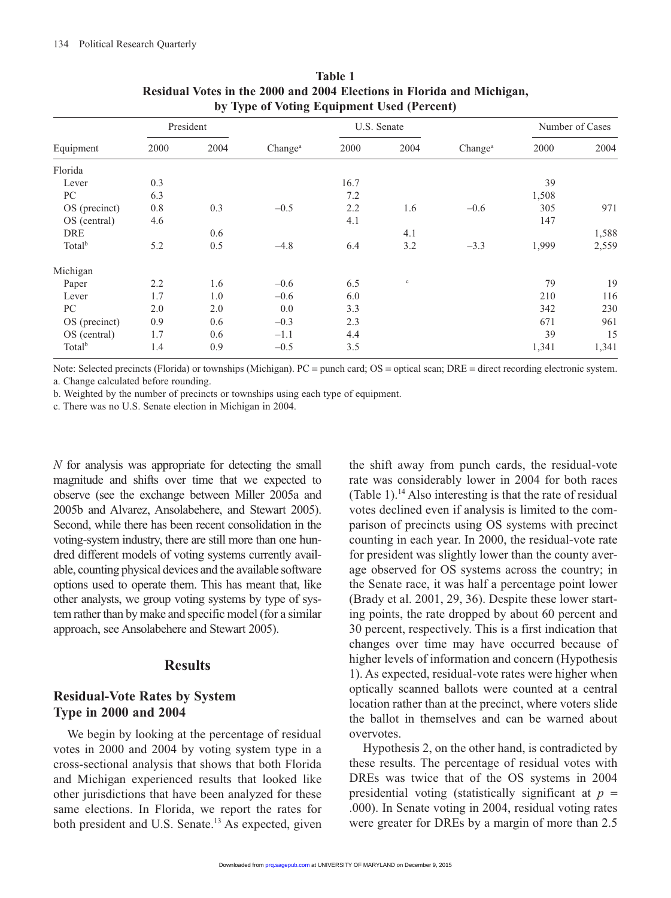|                    | President |      |                     | U.S. Senate |             |                     | Number of Cases |       |
|--------------------|-----------|------|---------------------|-------------|-------------|---------------------|-----------------|-------|
| Equipment          | 2000      | 2004 | Change <sup>a</sup> | 2000        | 2004        | Change <sup>a</sup> | 2000            | 2004  |
| Florida            |           |      |                     |             |             |                     |                 |       |
| Lever              | 0.3       |      |                     | 16.7        |             |                     | 39              |       |
| PC                 | 6.3       |      |                     | 7.2         |             |                     | 1,508           |       |
| OS (precinct)      | 0.8       | 0.3  | $-0.5$              | 2.2         | 1.6         | $-0.6$              | 305             | 971   |
| OS (central)       | 4.6       |      |                     | 4.1         |             |                     | 147             |       |
| DRE                |           | 0.6  |                     |             | 4.1         |                     |                 | 1,588 |
| Total <sup>b</sup> | 5.2       | 0.5  | $-4.8$              | 6.4         | 3.2         | $-3.3$              | 1,999           | 2,559 |
| Michigan           |           |      |                     |             |             |                     |                 |       |
| Paper              | 2.2       | 1.6  | $-0.6$              | 6.5         | $\mathbf c$ |                     | 79              | 19    |
| Lever              | 1.7       | 1.0  | $-0.6$              | 6.0         |             |                     | 210             | 116   |
| PC                 | 2.0       | 2.0  | 0.0                 | 3.3         |             |                     | 342             | 230   |
| OS (precinct)      | 0.9       | 0.6  | $-0.3$              | 2.3         |             |                     | 671             | 961   |
| OS (central)       | 1.7       | 0.6  | $-1.1$              | 4.4         |             |                     | 39              | 15    |
| Total <sup>b</sup> | 1.4       | 0.9  | $-0.5$              | 3.5         |             |                     | 1,341           | 1,341 |

| <b>Table 1</b>                                                         |  |  |  |  |  |  |
|------------------------------------------------------------------------|--|--|--|--|--|--|
| Residual Votes in the 2000 and 2004 Elections in Florida and Michigan, |  |  |  |  |  |  |
| by Type of Voting Equipment Used (Percent)                             |  |  |  |  |  |  |

Note: Selected precincts (Florida) or townships (Michigan). PC = punch card; OS = optical scan; DRE = direct recording electronic system. a. Change calculated before rounding.

b. Weighted by the number of precincts or townships using each type of equipment.

c. There was no U.S. Senate election in Michigan in 2004.

*N* for analysis was appropriate for detecting the small magnitude and shifts over time that we expected to observe (see the exchange between Miller 2005a and 2005b and Alvarez, Ansolabehere, and Stewart 2005). Second, while there has been recent consolidation in the voting-system industry, there are still more than one hundred different models of voting systems currently available, counting physical devices and the available software options used to operate them. This has meant that, like other analysts, we group voting systems by type of system rather than by make and specific model (for a similar approach, see Ansolabehere and Stewart 2005).

#### **Results**

## **Residual-Vote Rates by System Type in 2000 and 2004**

We begin by looking at the percentage of residual votes in 2000 and 2004 by voting system type in a cross-sectional analysis that shows that both Florida and Michigan experienced results that looked like other jurisdictions that have been analyzed for these same elections. In Florida, we report the rates for both president and U.S. Senate.<sup>13</sup> As expected, given

the shift away from punch cards, the residual-vote rate was considerably lower in 2004 for both races (Table 1).<sup>14</sup> Also interesting is that the rate of residual votes declined even if analysis is limited to the comparison of precincts using OS systems with precinct counting in each year. In 2000, the residual-vote rate for president was slightly lower than the county average observed for OS systems across the country; in the Senate race, it was half a percentage point lower (Brady et al. 2001, 29, 36). Despite these lower starting points, the rate dropped by about 60 percent and 30 percent, respectively. This is a first indication that changes over time may have occurred because of higher levels of information and concern (Hypothesis 1). As expected, residual-vote rates were higher when optically scanned ballots were counted at a central location rather than at the precinct, where voters slide the ballot in themselves and can be warned about overvotes.

Hypothesis 2, on the other hand, is contradicted by these results. The percentage of residual votes with DREs was twice that of the OS systems in 2004 presidential voting (statistically significant at  $p =$ .000). In Senate voting in 2004, residual voting rates were greater for DREs by a margin of more than 2.5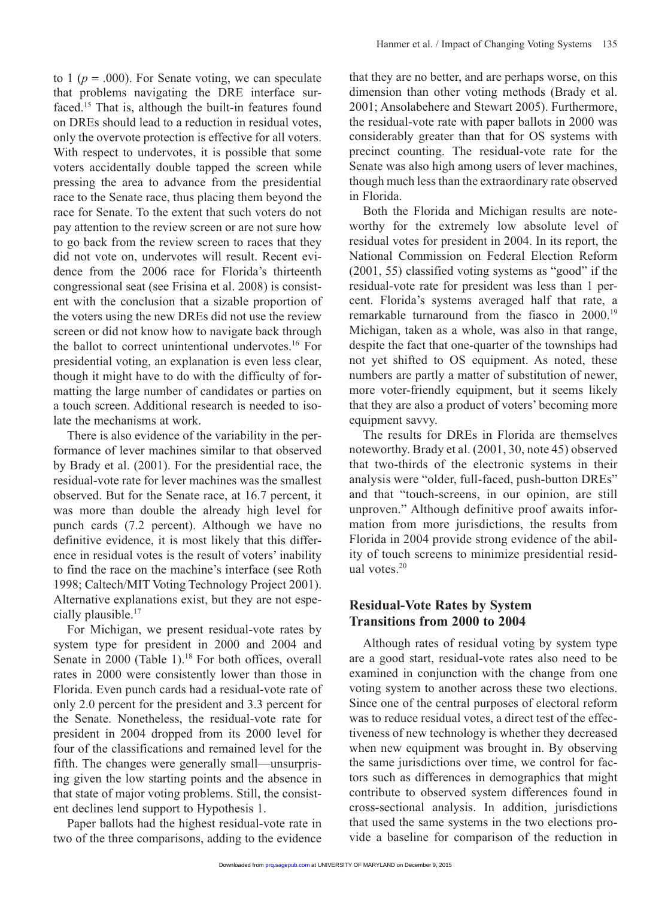to 1 ( $p = .000$ ). For Senate voting, we can speculate that problems navigating the DRE interface surfaced.15 That is, although the built-in features found on DREs should lead to a reduction in residual votes, only the overvote protection is effective for all voters. With respect to undervotes, it is possible that some voters accidentally double tapped the screen while pressing the area to advance from the presidential race to the Senate race, thus placing them beyond the race for Senate. To the extent that such voters do not pay attention to the review screen or are not sure how to go back from the review screen to races that they did not vote on, undervotes will result. Recent evidence from the 2006 race for Florida's thirteenth congressional seat (see Frisina et al. 2008) is consistent with the conclusion that a sizable proportion of the voters using the new DREs did not use the review screen or did not know how to navigate back through the ballot to correct unintentional undervotes.<sup>16</sup> For presidential voting, an explanation is even less clear, though it might have to do with the difficulty of formatting the large number of candidates or parties on a touch screen. Additional research is needed to isolate the mechanisms at work.

There is also evidence of the variability in the performance of lever machines similar to that observed by Brady et al. (2001). For the presidential race, the residual-vote rate for lever machines was the smallest observed. But for the Senate race, at 16.7 percent, it was more than double the already high level for punch cards (7.2 percent). Although we have no definitive evidence, it is most likely that this difference in residual votes is the result of voters' inability to find the race on the machine's interface (see Roth 1998; Caltech/MIT Voting Technology Project 2001). Alternative explanations exist, but they are not especially plausible.<sup>17</sup>

For Michigan, we present residual-vote rates by system type for president in 2000 and 2004 and Senate in 2000 (Table 1).<sup>18</sup> For both offices, overall rates in 2000 were consistently lower than those in Florida. Even punch cards had a residual-vote rate of only 2.0 percent for the president and 3.3 percent for the Senate. Nonetheless, the residual-vote rate for president in 2004 dropped from its 2000 level for four of the classifications and remained level for the fifth. The changes were generally small—unsurprising given the low starting points and the absence in that state of major voting problems. Still, the consistent declines lend support to Hypothesis 1.

Paper ballots had the highest residual-vote rate in two of the three comparisons, adding to the evidence that they are no better, and are perhaps worse, on this dimension than other voting methods (Brady et al. 2001; Ansolabehere and Stewart 2005). Furthermore, the residual-vote rate with paper ballots in 2000 was considerably greater than that for OS systems with precinct counting. The residual-vote rate for the Senate was also high among users of lever machines, though much less than the extraordinary rate observed in Florida.

Both the Florida and Michigan results are noteworthy for the extremely low absolute level of residual votes for president in 2004. In its report, the National Commission on Federal Election Reform (2001, 55) classified voting systems as "good" if the residual-vote rate for president was less than 1 percent. Florida's systems averaged half that rate, a remarkable turnaround from the fiasco in 2000.19 Michigan, taken as a whole, was also in that range, despite the fact that one-quarter of the townships had not yet shifted to OS equipment. As noted, these numbers are partly a matter of substitution of newer, more voter-friendly equipment, but it seems likely that they are also a product of voters' becoming more equipment savvy.

The results for DREs in Florida are themselves noteworthy. Brady et al. (2001, 30, note 45) observed that two-thirds of the electronic systems in their analysis were "older, full-faced, push-button DREs" and that "touch-screens, in our opinion, are still unproven." Although definitive proof awaits information from more jurisdictions, the results from Florida in 2004 provide strong evidence of the ability of touch screens to minimize presidential residual votes.20

# **Residual-Vote Rates by System Transitions from 2000 to 2004**

Although rates of residual voting by system type are a good start, residual-vote rates also need to be examined in conjunction with the change from one voting system to another across these two elections. Since one of the central purposes of electoral reform was to reduce residual votes, a direct test of the effectiveness of new technology is whether they decreased when new equipment was brought in. By observing the same jurisdictions over time, we control for factors such as differences in demographics that might contribute to observed system differences found in cross-sectional analysis. In addition, jurisdictions that used the same systems in the two elections provide a baseline for comparison of the reduction in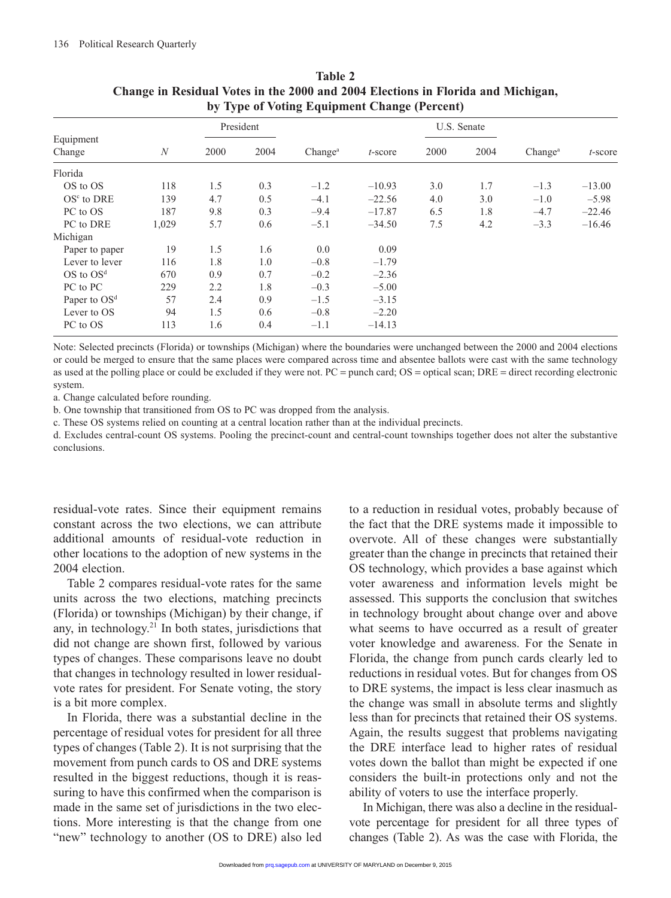|                     |                  | . .  |           | $\tilde{\phantom{a}}$ | ັ          |      |             |                     |            |
|---------------------|------------------|------|-----------|-----------------------|------------|------|-------------|---------------------|------------|
|                     |                  |      | President |                       |            |      | U.S. Senate |                     |            |
| Equipment<br>Change | $\boldsymbol{N}$ | 2000 | 2004      | Change <sup>a</sup>   | $t$ -score | 2000 | 2004        | Change <sup>a</sup> | $t$ -score |
| Florida             |                  |      |           |                       |            |      |             |                     |            |
| OS to OS            | 118              | 1.5  | 0.3       | $-1.2$                | $-10.93$   | 3.0  | 1.7         | $-1.3$              | $-13.00$   |
| $OSc$ to DRE        | 139              | 4.7  | 0.5       | $-4.1$                | $-22.56$   | 4.0  | 3.0         | $-1.0$              | $-5.98$    |
| PC to OS            | 187              | 9.8  | 0.3       | $-9.4$                | $-17.87$   | 6.5  | 1.8         | $-4.7$              | $-22.46$   |
| PC to DRE           | 1,029            | 5.7  | 0.6       | $-5.1$                | $-34.50$   | 7.5  | 4.2         | $-3.3$              | $-16.46$   |
| Michigan            |                  |      |           |                       |            |      |             |                     |            |
| Paper to paper      | 19               | 1.5  | 1.6       | 0.0                   | 0.09       |      |             |                     |            |
| Lever to lever      | 116              | 1.8  | 1.0       | $-0.8$                | $-1.79$    |      |             |                     |            |
| $OS$ to $OSd$       | 670              | 0.9  | 0.7       | $-0.2$                | $-2.36$    |      |             |                     |            |
| PC to PC            | 229              | 2.2  | 1.8       | $-0.3$                | $-5.00$    |      |             |                     |            |
| Paper to $OSd$      | 57               | 2.4  | 0.9       | $-1.5$                | $-3.15$    |      |             |                     |            |
| Lever to OS         | 94               | 1.5  | 0.6       | $-0.8$                | $-2.20$    |      |             |                     |            |
| PC to OS            | 113              | 1.6  | 0.4       | $-1.1$                | $-14.13$   |      |             |                     |            |

| Table 2                                                                          |  |  |  |  |  |  |
|----------------------------------------------------------------------------------|--|--|--|--|--|--|
| Change in Residual Votes in the 2000 and 2004 Elections in Florida and Michigan, |  |  |  |  |  |  |
| by Type of Voting Equipment Change (Percent)                                     |  |  |  |  |  |  |

Note: Selected precincts (Florida) or townships (Michigan) where the boundaries were unchanged between the 2000 and 2004 elections or could be merged to ensure that the same places were compared across time and absentee ballots were cast with the same technology as used at the polling place or could be excluded if they were not. PC = punch card; OS = optical scan; DRE = direct recording electronic system.

a. Change calculated before rounding.

b. One township that transitioned from OS to PC was dropped from the analysis.

c. These OS systems relied on counting at a central location rather than at the individual precincts.

d. Excludes central-count OS systems. Pooling the precinct-count and central-count townships together does not alter the substantive conclusions.

residual-vote rates. Since their equipment remains constant across the two elections, we can attribute additional amounts of residual-vote reduction in other locations to the adoption of new systems in the 2004 election.

Table 2 compares residual-vote rates for the same units across the two elections, matching precincts (Florida) or townships (Michigan) by their change, if any, in technology.<sup>21</sup> In both states, jurisdictions that did not change are shown first, followed by various types of changes. These comparisons leave no doubt that changes in technology resulted in lower residualvote rates for president. For Senate voting, the story is a bit more complex.

In Florida, there was a substantial decline in the percentage of residual votes for president for all three types of changes (Table 2). It is not surprising that the movement from punch cards to OS and DRE systems resulted in the biggest reductions, though it is reassuring to have this confirmed when the comparison is made in the same set of jurisdictions in the two elections. More interesting is that the change from one "new" technology to another (OS to DRE) also led to a reduction in residual votes, probably because of the fact that the DRE systems made it impossible to overvote. All of these changes were substantially greater than the change in precincts that retained their OS technology, which provides a base against which voter awareness and information levels might be assessed. This supports the conclusion that switches in technology brought about change over and above what seems to have occurred as a result of greater voter knowledge and awareness. For the Senate in Florida, the change from punch cards clearly led to reductions in residual votes. But for changes from OS to DRE systems, the impact is less clear inasmuch as the change was small in absolute terms and slightly less than for precincts that retained their OS systems. Again, the results suggest that problems navigating the DRE interface lead to higher rates of residual votes down the ballot than might be expected if one considers the built-in protections only and not the ability of voters to use the interface properly.

In Michigan, there was also a decline in the residualvote percentage for president for all three types of changes (Table 2). As was the case with Florida, the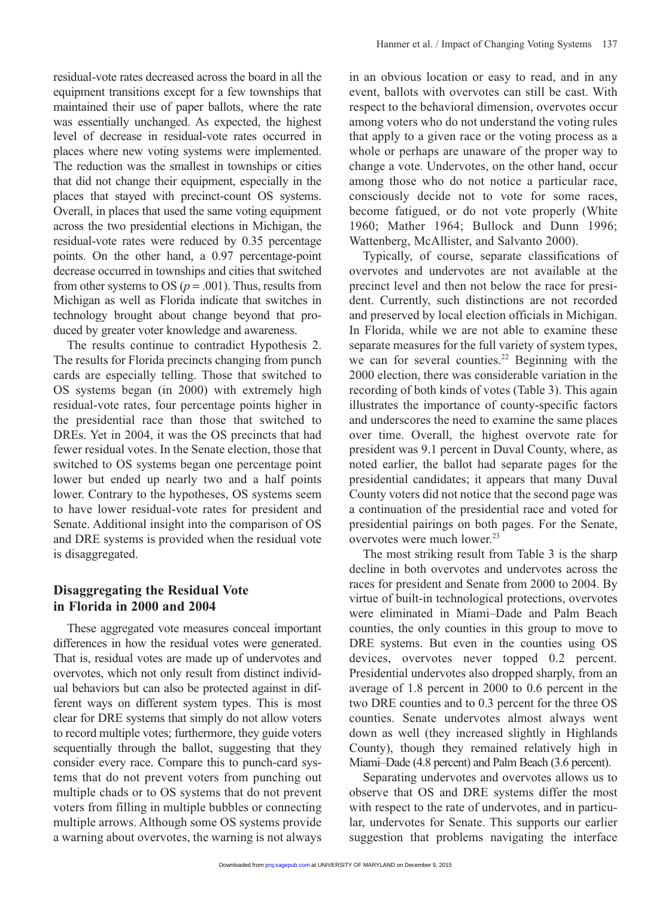residual-vote rates decreased across the board in all the equipment transitions except for a few townships that maintained their use of paper ballots, where the rate was essentially unchanged. As expected, the highest level of decrease in residual-vote rates occurred in places where new voting systems were implemented. The reduction was the smallest in townships or cities that did not change their equipment, especially in the places that stayed with precinct-count OS systems. Overall, in places that used the same voting equipment across the two presidential elections in Michigan, the residual-vote rates were reduced by 0.35 percentage points. On the other hand, a 0.97 percentage-point decrease occurred in townships and cities that switched from other systems to OS ( $p = .001$ ). Thus, results from Michigan as well as Florida indicate that switches in technology brought about change beyond that produced by greater voter knowledge and awareness.

The results continue to contradict Hypothesis 2. The results for Florida precincts changing from punch cards are especially telling. Those that switched to OS systems began (in 2000) with extremely high residual-vote rates, four percentage points higher in the presidential race than those that switched to DREs. Yet in 2004, it was the OS precincts that had fewer residual votes. In the Senate election, those that switched to OS systems began one percentage point lower but ended up nearly two and a half points lower. Contrary to the hypotheses, OS systems seem to have lower residual-vote rates for president and Senate. Additional insight into the comparison of OS and DRE systems is provided when the residual vote is disaggregated.

### **Disaggregating the Residual Vote in Florida in 2000 and 2004**

These aggregated vote measures conceal important differences in how the residual votes were generated. That is, residual votes are made up of undervotes and overvotes, which not only result from distinct individual behaviors but can also be protected against in different ways on different system types. This is most clear for DRE systems that simply do not allow voters to record multiple votes; furthermore, they guide voters sequentially through the ballot, suggesting that they consider every race. Compare this to punch-card systems that do not prevent voters from punching out multiple chads or to OS systems that do not prevent voters from filling in multiple bubbles or connecting multiple arrows. Although some OS systems provide a warning about overvotes, the warning is not always

in an obvious location or easy to read, and in any event, ballots with overvotes can still be cast. With respect to the behavioral dimension, overvotes occur among voters who do not understand the voting rules that apply to a given race or the voting process as a whole or perhaps are unaware of the proper way to change a vote. Undervotes, on the other hand, occur among those who do not notice a particular race, consciously decide not to vote for some races, become fatigued, or do not vote properly (White 1960; Mather 1964; Bullock and Dunn 1996; Wattenberg, McAllister, and Salvanto 2000).

Typically, of course, separate classifications of overvotes and undervotes are not available at the precinct level and then not below the race for president. Currently, such distinctions are not recorded and preserved by local election officials in Michigan. In Florida, while we are not able to examine these separate measures for the full variety of system types, we can for several counties.<sup>22</sup> Beginning with the 2000 election, there was considerable variation in the recording of both kinds of votes (Table 3). This again illustrates the importance of county-specific factors and underscores the need to examine the same places over time. Overall, the highest overvote rate for president was 9.1 percent in Duval County, where, as noted earlier, the ballot had separate pages for the presidential candidates; it appears that many Duval County voters did not notice that the second page was a continuation of the presidential race and voted for presidential pairings on both pages. For the Senate, overvotes were much lower.<sup>23</sup>

The most striking result from Table 3 is the sharp decline in both overvotes and undervotes across the races for president and Senate from 2000 to 2004. By virtue of built-in technological protections, overvotes were eliminated in Miami–Dade and Palm Beach counties, the only counties in this group to move to DRE systems. But even in the counties using OS devices, overvotes never topped 0.2 percent. Presidential undervotes also dropped sharply, from an average of 1.8 percent in 2000 to 0.6 percent in the two DRE counties and to 0.3 percent for the three OS counties. Senate undervotes almost always went down as well (they increased slightly in Highlands County), though they remained relatively high in Miami–Dade (4.8 percent) and Palm Beach (3.6 percent).

Separating undervotes and overvotes allows us to observe that OS and DRE systems differ the most with respect to the rate of undervotes, and in particular, undervotes for Senate. This supports our earlier suggestion that problems navigating the interface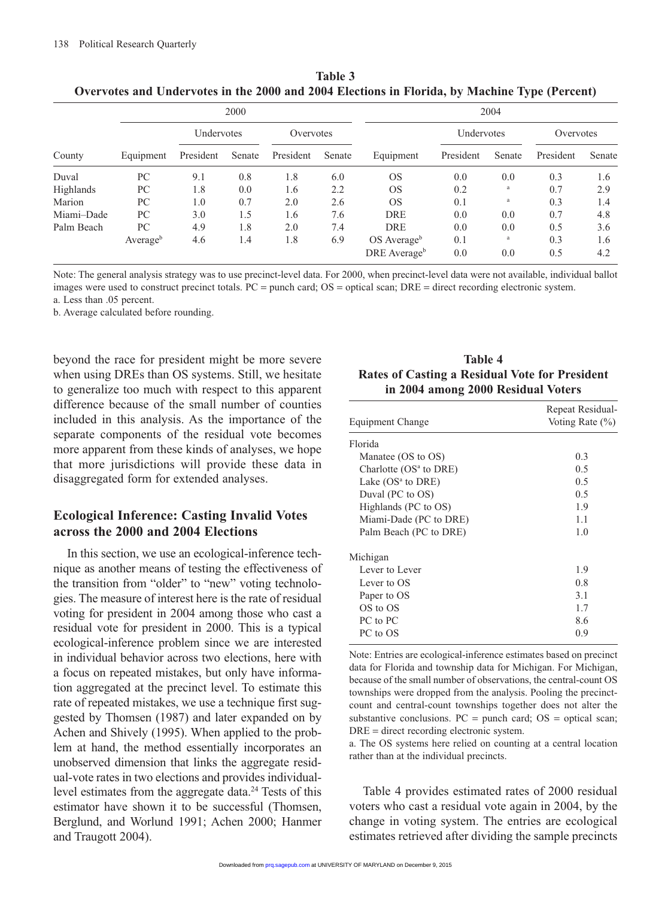|            |                      |            | 2000   |           |        | 2004                      |            |        |           |        |
|------------|----------------------|------------|--------|-----------|--------|---------------------------|------------|--------|-----------|--------|
|            |                      | Undervotes |        | Overvotes |        |                           | Undervotes |        | Overvotes |        |
| County     | Equipment            | President  | Senate | President | Senate | Equipment                 | President  | Senate | President | Senate |
| Duval      | PC                   | 9.1        | 0.8    | 1.8       | 6.0    | <b>OS</b>                 | 0.0        | 0.0    | 0.3       | 1.6    |
| Highlands  | PC                   | 1.8        | 0.0    | 1.6       | 2.2    | <b>OS</b>                 | 0.2        | a      | 0.7       | 2.9    |
| Marion     | PС                   | 1.0        | 0.7    | 2.0       | 2.6    | <b>OS</b>                 | 0.1        | a      | 0.3       | 1.4    |
| Miami-Dade | PС                   | 3.0        | 1.5    | 1.6       | 7.6    | <b>DRE</b>                | 0.0        | 0.0    | 0.7       | 4.8    |
| Palm Beach | PС                   | 4.9        | 1.8    | 2.0       | 7.4    | <b>DRE</b>                | 0.0        | 0.0    | 0.5       | 3.6    |
|            | Average <sup>b</sup> | 4.6        | 1.4    | 1.8       | 6.9    | $OS$ Average <sup>b</sup> | 0.1        | a      | 0.3       | 1.6    |
|            |                      |            |        |           |        | DRE Average <sup>b</sup>  | 0.0        | 0.0    | 0.5       | 4.2    |

**Table 3 Overvotes and Undervotes in the 2000 and 2004 Elections in Florida, by Machine Type (Percent)**

Note: The general analysis strategy was to use precinct-level data. For 2000, when precinct-level data were not available, individual ballot images were used to construct precinct totals. PC = punch card; OS = optical scan; DRE = direct recording electronic system.

a. Less than .05 percent.

b. Average calculated before rounding.

beyond the race for president might be more severe when using DREs than OS systems. Still, we hesitate to generalize too much with respect to this apparent difference because of the small number of counties included in this analysis. As the importance of the separate components of the residual vote becomes more apparent from these kinds of analyses, we hope that more jurisdictions will provide these data in disaggregated form for extended analyses.

## **Ecological Inference: Casting Invalid Votes across the 2000 and 2004 Elections**

In this section, we use an ecological-inference technique as another means of testing the effectiveness of the transition from "older" to "new" voting technologies. The measure of interest here is the rate of residual voting for president in 2004 among those who cast a residual vote for president in 2000. This is a typical ecological-inference problem since we are interested in individual behavior across two elections, here with a focus on repeated mistakes, but only have information aggregated at the precinct level. To estimate this rate of repeated mistakes, we use a technique first suggested by Thomsen (1987) and later expanded on by Achen and Shively (1995). When applied to the problem at hand, the method essentially incorporates an unobserved dimension that links the aggregate residual-vote rates in two elections and provides individuallevel estimates from the aggregate data.<sup>24</sup> Tests of this estimator have shown it to be successful (Thomsen, Berglund, and Worlund 1991; Achen 2000; Hanmer and Traugott 2004).

| Table 4                                               |
|-------------------------------------------------------|
| <b>Rates of Casting a Residual Vote for President</b> |
| in 2004 among 2000 Residual Voters                    |

|                          | Repeat Residual-    |  |  |  |  |
|--------------------------|---------------------|--|--|--|--|
| Equipment Change         | Voting Rate $(\% )$ |  |  |  |  |
| Florida                  |                     |  |  |  |  |
| Manatee (OS to OS)       | 0.3                 |  |  |  |  |
| Charlotte $(OSa$ to DRE) | 0.5                 |  |  |  |  |
| Lake $(OSa$ to DRE)      | 0.5                 |  |  |  |  |
| Duval (PC to OS)         | 0.5                 |  |  |  |  |
| Highlands (PC to OS)     | 1.9                 |  |  |  |  |
| Miami-Dade (PC to DRE)   | 1.1                 |  |  |  |  |
| Palm Beach (PC to DRE)   | 1.0                 |  |  |  |  |
| Michigan                 |                     |  |  |  |  |
| Lever to Lever           | 1.9                 |  |  |  |  |
| Lever to OS              | 0.8                 |  |  |  |  |
| Paper to OS              | 3.1                 |  |  |  |  |
| OS to OS                 | 1.7                 |  |  |  |  |
| PC to PC                 | 8.6                 |  |  |  |  |
| PC to OS                 | 0.9                 |  |  |  |  |

Note: Entries are ecological-inference estimates based on precinct data for Florida and township data for Michigan. For Michigan, because of the small number of observations, the central-count OS townships were dropped from the analysis. Pooling the precinctcount and central-count townships together does not alter the substantive conclusions.  $PC =$  punch card;  $OS =$  optical scan; DRE = direct recording electronic system.

a. The OS systems here relied on counting at a central location rather than at the individual precincts.

Table 4 provides estimated rates of 2000 residual voters who cast a residual vote again in 2004, by the change in voting system. The entries are ecological estimates retrieved after dividing the sample precincts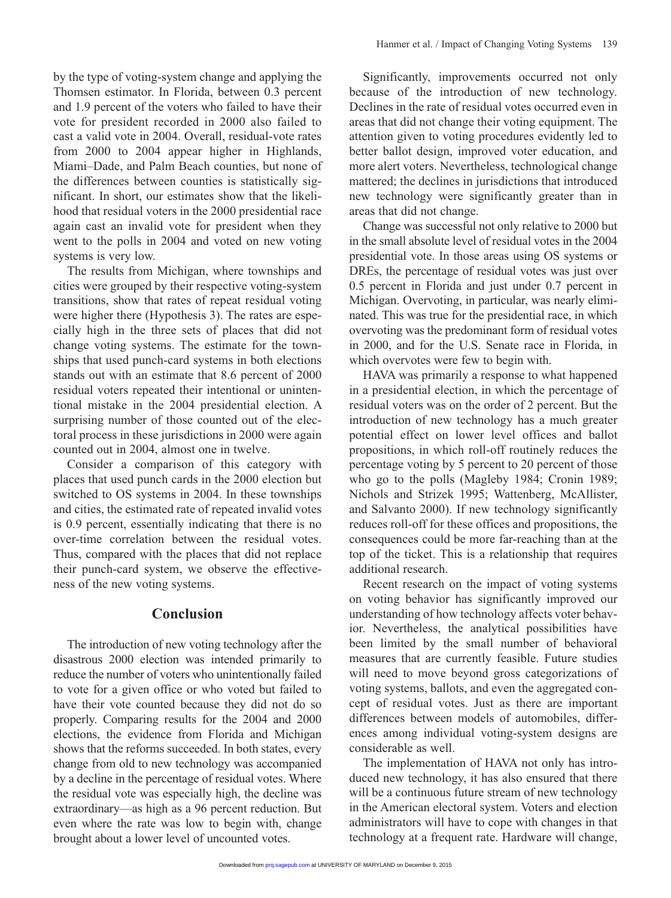by the type of voting-system change and applying the Thomsen estimator. In Florida, between 0.3 percent and 1.9 percent of the voters who failed to have their vote for president recorded in 2000 also failed to cast a valid vote in 2004. Overall, residual-vote rates from 2000 to 2004 appear higher in Highlands, Miami–Dade, and Palm Beach counties, but none of the differences between counties is statistically significant. In short, our estimates show that the likelihood that residual voters in the 2000 presidential race again cast an invalid vote for president when they went to the polls in 2004 and voted on new voting systems is very low.

The results from Michigan, where townships and cities were grouped by their respective voting-system transitions, show that rates of repeat residual voting were higher there (Hypothesis 3). The rates are especially high in the three sets of places that did not change voting systems. The estimate for the townships that used punch-card systems in both elections stands out with an estimate that 8.6 percent of 2000 residual voters repeated their intentional or unintentional mistake in the 2004 presidential election. A surprising number of those counted out of the electoral process in these jurisdictions in 2000 were again counted out in 2004, almost one in twelve.

Consider a comparison of this category with places that used punch cards in the 2000 election but switched to OS systems in 2004. In these townships and cities, the estimated rate of repeated invalid votes is 0.9 percent, essentially indicating that there is no over-time correlation between the residual votes. Thus, compared with the places that did not replace their punch-card system, we observe the effectiveness of the new voting systems.

### **Conclusion**

The introduction of new voting technology after the disastrous 2000 election was intended primarily to reduce the number of voters who unintentionally failed to vote for a given office or who voted but failed to have their vote counted because they did not do so properly. Comparing results for the 2004 and 2000 elections, the evidence from Florida and Michigan shows that the reforms succeeded. In both states, every change from old to new technology was accompanied by a decline in the percentage of residual votes. Where the residual vote was especially high, the decline was extraordinary—as high as a 96 percent reduction. But even where the rate was low to begin with, change brought about a lower level of uncounted votes.

Significantly, improvements occurred not only because of the introduction of new technology. Declines in the rate of residual votes occurred even in areas that did not change their voting equipment. The attention given to voting procedures evidently led to better ballot design, improved voter education, and more alert voters. Nevertheless, technological change mattered; the declines in jurisdictions that introduced new technology were significantly greater than in areas that did not change.

Change was successful not only relative to 2000 but in the small absolute level of residual votes in the 2004 presidential vote. In those areas using OS systems or DREs, the percentage of residual votes was just over 0.5 percent in Florida and just under 0.7 percent in Michigan. Overvoting, in particular, was nearly eliminated. This was true for the presidential race, in which overvoting was the predominant form of residual votes in 2000, and for the U.S. Senate race in Florida, in which overvotes were few to begin with.

HAVA was primarily a response to what happened in a presidential election, in which the percentage of residual voters was on the order of 2 percent. But the introduction of new technology has a much greater potential effect on lower level offices and ballot propositions, in which roll-off routinely reduces the percentage voting by 5 percent to 20 percent of those who go to the polls (Magleby 1984; Cronin 1989; Nichols and Strizek 1995; Wattenberg, McAllister, and Salvanto 2000). If new technology significantly reduces roll-off for these offices and propositions, the consequences could be more far-reaching than at the top of the ticket. This is a relationship that requires additional research.

Recent research on the impact of voting systems on voting behavior has significantly improved our understanding of how technology affects voter behavior. Nevertheless, the analytical possibilities have been limited by the small number of behavioral measures that are currently feasible. Future studies will need to move beyond gross categorizations of voting systems, ballots, and even the aggregated concept of residual votes. Just as there are important differences between models of automobiles, differences among individual voting-system designs are considerable as well.

The implementation of HAVA not only has introduced new technology, it has also ensured that there will be a continuous future stream of new technology in the American electoral system. Voters and election administrators will have to cope with changes in that technology at a frequent rate. Hardware will change,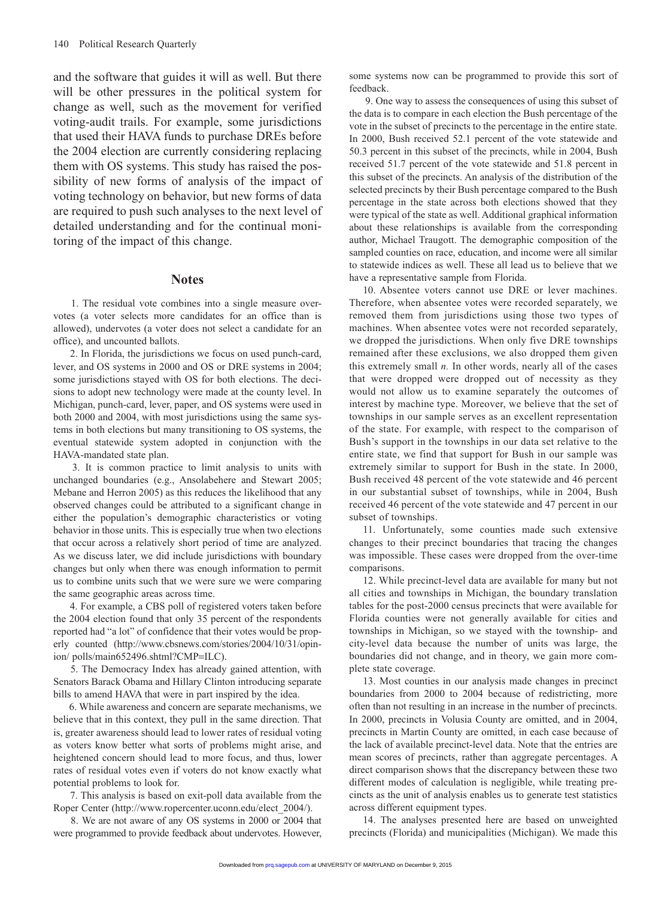and the software that guides it will as well. But there will be other pressures in the political system for change as well, such as the movement for verified voting-audit trails. For example, some jurisdictions that used their HAVA funds to purchase DREs before the 2004 election are currently considering replacing them with OS systems. This study has raised the possibility of new forms of analysis of the impact of voting technology on behavior, but new forms of data are required to push such analyses to the next level of detailed understanding and for the continual monitoring of the impact of this change.

#### **Notes**

 1. The residual vote combines into a single measure overvotes (a voter selects more candidates for an office than is allowed), undervotes (a voter does not select a candidate for an office), and uncounted ballots.

 2. In Florida, the jurisdictions we focus on used punch-card, lever, and OS systems in 2000 and OS or DRE systems in 2004; some jurisdictions stayed with OS for both elections. The decisions to adopt new technology were made at the county level. In Michigan, punch-card, lever, paper, and OS systems were used in both 2000 and 2004, with most jurisdictions using the same systems in both elections but many transitioning to OS systems, the eventual statewide system adopted in conjunction with the HAVA-mandated state plan.

 3. It is common practice to limit analysis to units with unchanged boundaries (e.g., Ansolabehere and Stewart 2005; Mebane and Herron 2005) as this reduces the likelihood that any observed changes could be attributed to a significant change in either the population's demographic characteristics or voting behavior in those units. This is especially true when two elections that occur across a relatively short period of time are analyzed. As we discuss later, we did include jurisdictions with boundary changes but only when there was enough information to permit us to combine units such that we were sure we were comparing the same geographic areas across time.

 4. For example, a CBS poll of registered voters taken before the 2004 election found that only 35 percent of the respondents reported had "a lot" of confidence that their votes would be properly counted (http://www.cbsnews.com/stories/2004/10/31/opinion/ polls/main652496.shtml?CMP=ILC).

 5. The Democracy Index has already gained attention, with Senators Barack Obama and Hillary Clinton introducing separate bills to amend HAVA that were in part inspired by the idea.

 6. While awareness and concern are separate mechanisms, we believe that in this context, they pull in the same direction. That is, greater awareness should lead to lower rates of residual voting as voters know better what sorts of problems might arise, and heightened concern should lead to more focus, and thus, lower rates of residual votes even if voters do not know exactly what potential problems to look for.

 7. This analysis is based on exit-poll data available from the Roper Center (http://www.ropercenter.uconn.edu/elect\_2004/).

 8. We are not aware of any OS systems in 2000 or 2004 that were programmed to provide feedback about undervotes. However, some systems now can be programmed to provide this sort of feedback.

 9. One way to assess the consequences of using this subset of the data is to compare in each election the Bush percentage of the vote in the subset of precincts to the percentage in the entire state. In 2000, Bush received 52.1 percent of the vote statewide and 50.3 percent in this subset of the precincts, while in 2004, Bush received 51.7 percent of the vote statewide and 51.8 percent in this subset of the precincts. An analysis of the distribution of the selected precincts by their Bush percentage compared to the Bush percentage in the state across both elections showed that they were typical of the state as well. Additional graphical information about these relationships is available from the corresponding author, Michael Traugott. The demographic composition of the sampled counties on race, education, and income were all similar to statewide indices as well. These all lead us to believe that we have a representative sample from Florida.

10. Absentee voters cannot use DRE or lever machines. Therefore, when absentee votes were recorded separately, we removed them from jurisdictions using those two types of machines. When absentee votes were not recorded separately, we dropped the jurisdictions. When only five DRE townships remained after these exclusions, we also dropped them given this extremely small *n.* In other words, nearly all of the cases that were dropped were dropped out of necessity as they would not allow us to examine separately the outcomes of interest by machine type. Moreover, we believe that the set of townships in our sample serves as an excellent representation of the state. For example, with respect to the comparison of Bush's support in the townships in our data set relative to the entire state, we find that support for Bush in our sample was extremely similar to support for Bush in the state. In 2000, Bush received 48 percent of the vote statewide and 46 percent in our substantial subset of townships, while in 2004, Bush received 46 percent of the vote statewide and 47 percent in our subset of townships.

11. Unfortunately, some counties made such extensive changes to their precinct boundaries that tracing the changes was impossible. These cases were dropped from the over-time comparisons.

12. While precinct-level data are available for many but not all cities and townships in Michigan, the boundary translation tables for the post-2000 census precincts that were available for Florida counties were not generally available for cities and townships in Michigan, so we stayed with the township- and city-level data because the number of units was large, the boundaries did not change, and in theory, we gain more complete state coverage.

13. Most counties in our analysis made changes in precinct boundaries from 2000 to 2004 because of redistricting, more often than not resulting in an increase in the number of precincts. In 2000, precincts in Volusia County are omitted, and in 2004, precincts in Martin County are omitted, in each case because of the lack of available precinct-level data. Note that the entries are mean scores of precincts, rather than aggregate percentages. A direct comparison shows that the discrepancy between these two different modes of calculation is negligible, while treating precincts as the unit of analysis enables us to generate test statistics across different equipment types.

14. The analyses presented here are based on unweighted precincts (Florida) and municipalities (Michigan). We made this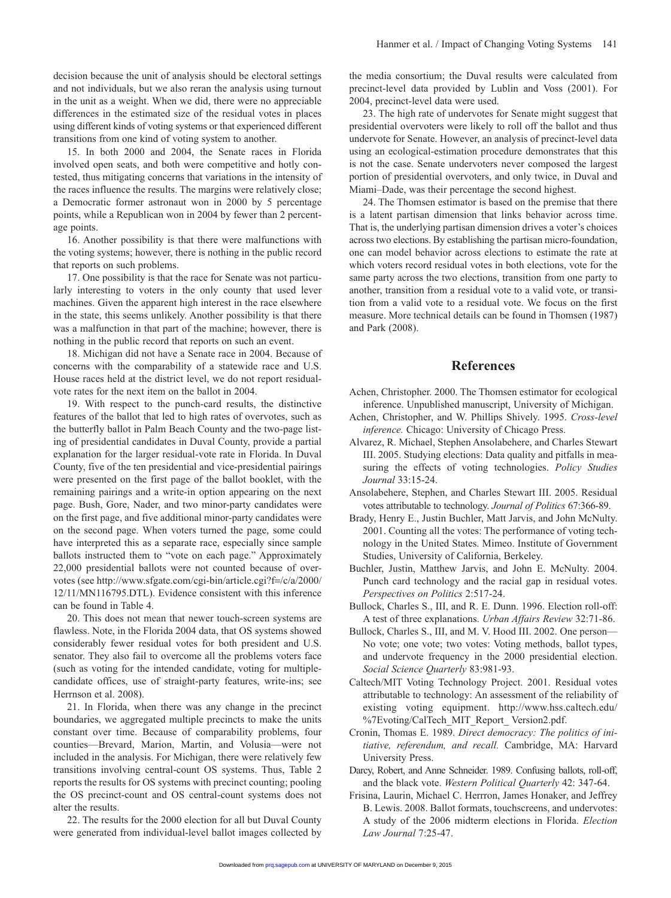decision because the unit of analysis should be electoral settings and not individuals, but we also reran the analysis using turnout in the unit as a weight. When we did, there were no appreciable differences in the estimated size of the residual votes in places using different kinds of voting systems or that experienced different transitions from one kind of voting system to another.

15. In both 2000 and 2004, the Senate races in Florida involved open seats, and both were competitive and hotly contested, thus mitigating concerns that variations in the intensity of the races influence the results. The margins were relatively close; a Democratic former astronaut won in 2000 by 5 percentage points, while a Republican won in 2004 by fewer than 2 percentage points.

16. Another possibility is that there were malfunctions with the voting systems; however, there is nothing in the public record that reports on such problems.

17. One possibility is that the race for Senate was not particularly interesting to voters in the only county that used lever machines. Given the apparent high interest in the race elsewhere in the state, this seems unlikely. Another possibility is that there was a malfunction in that part of the machine; however, there is nothing in the public record that reports on such an event.

18. Michigan did not have a Senate race in 2004. Because of concerns with the comparability of a statewide race and U.S. House races held at the district level, we do not report residualvote rates for the next item on the ballot in 2004.

19. With respect to the punch-card results, the distinctive features of the ballot that led to high rates of overvotes, such as the butterfly ballot in Palm Beach County and the two-page listing of presidential candidates in Duval County, provide a partial explanation for the larger residual-vote rate in Florida. In Duval County, five of the ten presidential and vice-presidential pairings were presented on the first page of the ballot booklet, with the remaining pairings and a write-in option appearing on the next page. Bush, Gore, Nader, and two minor-party candidates were on the first page, and five additional minor-party candidates were on the second page. When voters turned the page, some could have interpreted this as a separate race, especially since sample ballots instructed them to "vote on each page." Approximately 22,000 presidential ballots were not counted because of overvotes (see http://www.sfgate.com/cgi-bin/article.cgi?f=/c/a/2000/ 12/11/MN116795.DTL). Evidence consistent with this inference can be found in Table 4.

20. This does not mean that newer touch-screen systems are flawless. Note, in the Florida 2004 data, that OS systems showed considerably fewer residual votes for both president and U.S. senator. They also fail to overcome all the problems voters face (such as voting for the intended candidate, voting for multiplecandidate offices, use of straight-party features, write-ins; see Herrnson et al. 2008).

21. In Florida, when there was any change in the precinct boundaries, we aggregated multiple precincts to make the units constant over time. Because of comparability problems, four counties—Brevard, Marion, Martin, and Volusia—were not included in the analysis. For Michigan, there were relatively few transitions involving central-count OS systems. Thus, Table 2 reports the results for OS systems with precinct counting; pooling the OS precinct-count and OS central-count systems does not alter the results.

22. The results for the 2000 election for all but Duval County were generated from individual-level ballot images collected by the media consortium; the Duval results were calculated from precinct-level data provided by Lublin and Voss (2001). For 2004, precinct-level data were used.

23. The high rate of undervotes for Senate might suggest that presidential overvoters were likely to roll off the ballot and thus undervote for Senate. However, an analysis of precinct-level data using an ecological-estimation procedure demonstrates that this is not the case. Senate undervoters never composed the largest portion of presidential overvoters, and only twice, in Duval and Miami–Dade, was their percentage the second highest.

24. The Thomsen estimator is based on the premise that there is a latent partisan dimension that links behavior across time. That is, the underlying partisan dimension drives a voter's choices across two elections. By establishing the partisan micro-foundation, one can model behavior across elections to estimate the rate at which voters record residual votes in both elections, vote for the same party across the two elections, transition from one party to another, transition from a residual vote to a valid vote, or transition from a valid vote to a residual vote. We focus on the first measure. More technical details can be found in Thomsen (1987) and Park (2008).

#### **References**

- Achen, Christopher. 2000. The Thomsen estimator for ecological inference. Unpublished manuscript, University of Michigan.
- Achen, Christopher, and W. Phillips Shively. 1995. *Cross-level inference.* Chicago: University of Chicago Press.
- Alvarez, R. Michael, Stephen Ansolabehere, and Charles Stewart III. 2005. Studying elections: Data quality and pitfalls in measuring the effects of voting technologies. *Policy Studies Journal* 33:15-24.
- Ansolabehere, Stephen, and Charles Stewart III. 2005. Residual votes attributable to technology. *Journal of Politics* 67:366-89.
- Brady, Henry E., Justin Buchler, Matt Jarvis, and John McNulty. 2001. Counting all the votes: The performance of voting technology in the United States. Mimeo. Institute of Government Studies, University of California, Berkeley.
- Buchler, Justin, Matthew Jarvis, and John E. McNulty. 2004. Punch card technology and the racial gap in residual votes. *Perspectives on Politics* 2:517-24.
- Bullock, Charles S., III, and R. E. Dunn. 1996. Election roll-off: A test of three explanations. *Urban Affairs Review* 32:71-86.
- Bullock, Charles S., III, and M. V. Hood III. 2002. One person— No vote; one vote; two votes: Voting methods, ballot types, and undervote frequency in the 2000 presidential election. *Social Science Quarterly* 83:981-93.
- Caltech/MIT Voting Technology Project. 2001. Residual votes attributable to technology: An assessment of the reliability of existing voting equipment. http://www.hss.caltech.edu/ %7Evoting/CalTech\_MIT\_Report\_Version2.pdf.
- Cronin, Thomas E. 1989. *Direct democracy: The politics of initiative, referendum, and recall.* Cambridge, MA: Harvard University Press.
- Darcy, Robert, and Anne Schneider. 1989. Confusing ballots, roll-off, and the black vote. *Western Political Quarterly* 42: 347-64.
- Frisina, Laurin, Michael C. Herrron, James Honaker, and Jeffrey B. Lewis. 2008. Ballot formats, touchscreens, and undervotes: A study of the 2006 midterm elections in Florida. *Election Law Journal* 7:25-47.